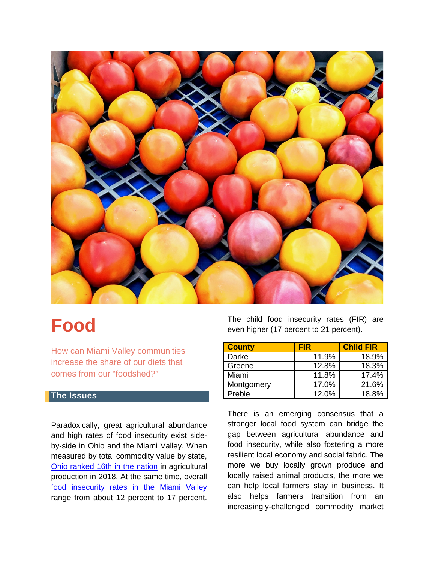

# **Food**

How can Miami Valley communities increase the share of our diets that comes from our "foodshed?"

#### **The Issues**

Paradoxically, great agricultural abundance and high rates of food insecurity exist sideby-side in Ohio and the Miami Valley. When measured by total commodity value by state, [Ohio ranked 16th in the nation](https://data.ers.usda.gov/reports.aspx?ID=17844) in agricultural production in 2018. At the same time, overall [food insecurity rates in the Miami Valley](https://map.feedingamerica.org/) range from about 12 percent to 17 percent. The child food insecurity rates (FIR) are even higher (17 percent to 21 percent).

| <b>County</b> | <b>FIR</b> | <b>Child FIR</b> |
|---------------|------------|------------------|
| Darke         | 11.9%      | 18.9%            |
| Greene        | 12.8%      | 18.3%            |
| Miami         | 11.8%      | 17.4%            |
| Montgomery    | 17.0%      | 21.6%            |
| Preble        | 12.0%      | 18.8%            |

There is an emerging consensus that a stronger local food system can bridge the gap between agricultural abundance and food insecurity, while also fostering a more resilient local economy and social fabric. The more we buy locally grown produce and locally raised animal products, the more we can help local farmers stay in business. It also helps farmers transition from an increasingly-challenged commodity market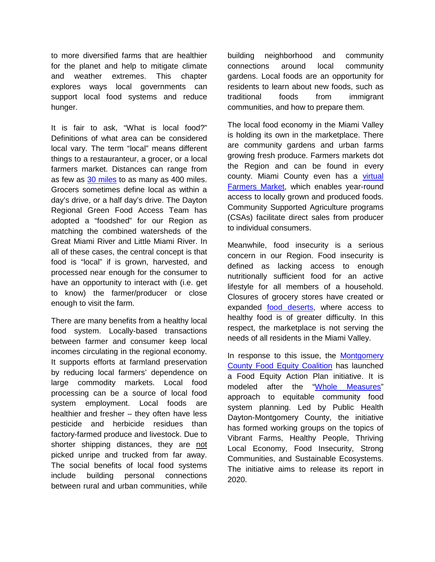to more diversified farms that are healthier for the planet and help to mitigate climate and weather extremes. This chapter explores ways local governments can support local food systems and reduce hunger.

It is fair to ask, "What is local food?" Definitions of what area can be considered local vary. The term "local" means different things to a restauranteur, a grocer, or a local farmers market. Distances can range from as few as [30 miles](https://miamicounty.locallygrown.net/welcome) to as many as 400 miles. Grocers sometimes define local as within a day's drive, or a half day's drive. The Dayton Regional Green Food Access Team has adopted a "foodshed" for our Region as matching the combined watersheds of the Great Miami River and Little Miami River. In all of these cases, the central concept is that food is "local" if is grown, harvested, and processed near enough for the consumer to have an opportunity to interact with (i.e. get to know) the farmer/producer or close enough to visit the farm.

There are many benefits from a healthy local food system. Locally-based transactions between farmer and consumer keep local incomes circulating in the regional economy. It supports efforts at farmland preservation by reducing local farmers' dependence on large commodity markets. Local food processing can be a source of local food system employment. Local foods are healthier and fresher – they often have less pesticide and herbicide residues than factory-farmed produce and livestock. Due to shorter shipping distances, they are not picked unripe and trucked from far away. The social benefits of local food systems include building personal connections between rural and urban communities, while building neighborhood and community connections around local community gardens. Local foods are an opportunity for residents to learn about new foods, such as traditional foods from immigrant communities, and how to prepare them.

The local food economy in the Miami Valley is holding its own in the marketplace. There are community gardens and urban farms growing fresh produce. Farmers markets dot the Region and can be found in every county. Miami County even has a [virtual](https://miamicounty.locallygrown.net/welcome)  [Farmers Market,](https://miamicounty.locallygrown.net/welcome) which enables year-round access to locally grown and produced foods. Community Supported Agriculture programs (CSAs) facilitate direct sales from producer to individual consumers.

Meanwhile, food insecurity is a serious concern in our Region. Food insecurity is defined as lacking access to enough nutritionally sufficient food for an active lifestyle for all members of a household. Closures of grocery stores have created or expanded [food deserts,](https://www.arcgis.com/apps/MapJournal/index.html?appid=bea43c74a1d1465d9e32000e5f22072c) where access to healthy food is of greater difficulty. In this respect, the marketplace is not serving the needs of all residents in the Miami Valley.

In response to this issue, the [Montgomery](https://www.phdmc.org/health-data-reports/food-equity-coalition)  [County Food Equity Coalition](https://www.phdmc.org/health-data-reports/food-equity-coalition) has launched a Food Equity Action Plan initiative. It is modeled after the ["Whole Measures"](http://wholecommunities.org/wp-content/uploads/2015/12/Whole-Measures-CFS-for-web-downloads-copy.pdf) approach to equitable community food system planning. Led by Public Health Dayton-Montgomery County, the initiative has formed working groups on the topics of Vibrant Farms, Healthy People, Thriving Local Economy, Food Insecurity, Strong Communities, and Sustainable Ecosystems. The initiative aims to release its report in 2020.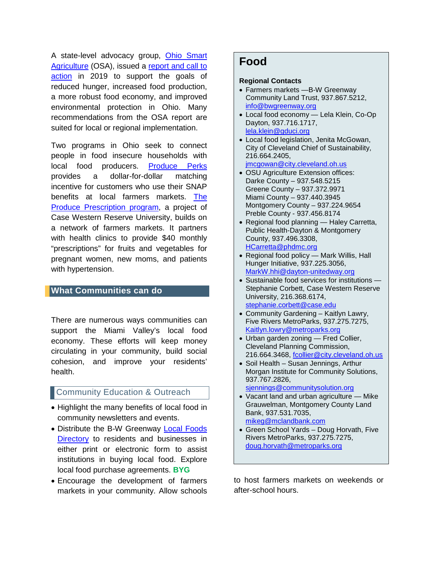A state-level advocacy group, [Ohio Smart](https://www.ohiosmartag.net/)  [Agriculture](https://www.ohiosmartag.net/) (OSA), issued a report and call to [action](https://www.sfldialogue.net/ohiosmartag/reports/OSA-SfL_Phase_I_Report.pdf) in 2019 to support the goals of reduced hunger, increased food production, a more robust food economy, and improved environmental protection in Ohio. Many recommendations from the OSA report are suited for local or regional implementation.

Two programs in Ohio seek to connect people in food insecure households with local food producers. [Produce Perks](https://produceperks.org/) provides a dollar-for-dollar matching incentive for customers who use their SNAP benefits at local farmers markets. [The](https://www.prchn.org/ProducePrescriptionProgram.aspx)  [Produce Prescription program,](https://www.prchn.org/ProducePrescriptionProgram.aspx) a project of Case Western Reserve University, builds on a network of farmers markets. It partners with health clinics to provide \$40 monthly "prescriptions" for fruits and vegetables for pregnant women, new moms, and patients with hypertension.

#### **What Communities can do**

There are numerous ways communities can support the Miami Valley's local food economy. These efforts will keep money circulating in your community, build social cohesion, and improve your residents' health.

### **Community Education & Outreach**

- Highlight the many benefits of local food in community newsletters and events.
- Distribute the B-W Greenway [Local](https://www.bwgreenway.org/food-farming) Foods Directory to residents and businesses in either print or electronic form to assist institutions in buying local food. Explore local food purchase agreements. **BYG**
- Encourage the development of farmers markets in your community. Allow schools

## **Food**

#### **Regional Contacts**

- Farmers markets —B-W Greenway Community Land Trust, 937.867.5212, [info@bwgreenway.org](mailto:mailtomailtoinfo@bwgreenway.org)
- Local food economy Lela Klein, Co-Op Dayton, 937.716.1717, [lela.klein@gduci.org](mailto:lela.klein@gduci.org)
- Local food legislation, Jenita McGowan, City of Cleveland Chief of Sustainability, 216.664.2405, [jmcgowan@city.cleveland.oh.us](mailto:jmcgowan@city.cleveland.oh.us)
	-
- OSU Agriculture Extension offices: Darke County – 937.548.5215 Greene County – 937.372.9971 Miami County – 937.440.3945 Montgomery County – 937.224.9654 Preble County - 937.456.8174
- Regional food planning Haley Carretta, Public Health-Dayton & Montgomery County, 937.496.3308, [HCarretta@phdmc.org](mailto:HCarretta@phdmc.org)
- Regional food policy Mark Willis, Hall Hunger Initiative, 937.225.3056, [MarkW.hhi@dayton-unitedway.org](mailto:MarkW.hhi@dayton-unitedway.org)
- Sustainable food services for institutions Stephanie Corbett, Case Western Reserve University, 216.368.6174, [stephanie.corbett@case.edu](mailto:stephanie.corbett@case.edu)
- Community Gardening Kaitlyn Lawry, Five Rivers MetroParks, 937.275.7275, [Kaitlyn.lowry@metroparks.org](mailto:Kaitlyn.lowry@metroparks.org)
- Urban garden zoning Fred Collier, Cleveland Planning Commission, 216.664.3468, [fcollier@city.cleveland.oh.us](mailto:fcollier@city.cleveland.oh.us)
- Soil Health Susan Jennings, Arthur Morgan Institute for Community Solutions, 937.767.2826,

siennings@communitysolution.org

- Vacant land and urban agriculture Mike Grauwelman, Montgomery County Land Bank, 937.531.7035, [mikeg@mclandbank.com](mailto:mikeg@mclandbank.com)
- Green School Yards Doug Horvath, Five Rivers MetroParks, 937.275.7275, [doug.horvath@metroparks.org](mailto:doug.horvath@metroparks.org)

to host farmers markets on weekends or after-school hours.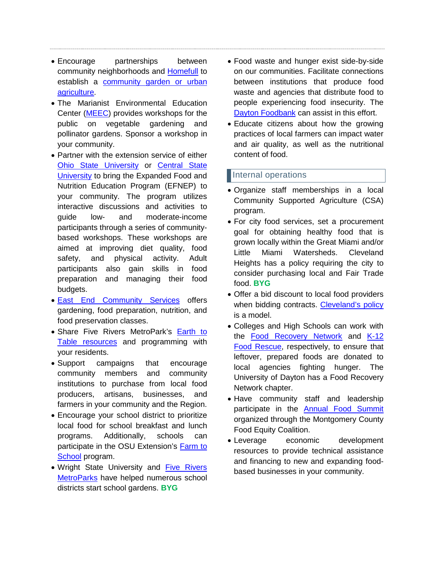- Encourage partnerships between community neighborhoods and [Homefull](http://www.homefull.org/) to establish a [community garden or urban](http://www.homefull.org/homefull-solutions/urban-agriculture-2/)  [agriculture.](http://www.homefull.org/homefull-solutions/urban-agriculture-2/)
- The Marianist Environmental Education Center [\(MEEC\)](https://meec.center/) provides workshops for the public on vegetable gardening and pollinator gardens. Sponsor a workshop in your community.
- Partner with the extension service of either [Ohio State University](https://fcs.osu.edu/programs/nutrition/efnep) or [Central State](http://www.centralstate.edu/academics/cse/agriculture/index11.php?num=29)  [University](http://www.centralstate.edu/academics/cse/agriculture/index11.php?num=29) to bring the Expanded Food and Nutrition Education Program (EFNEP) to your community. The program utilizes interactive discussions and activities to guide low- and moderate-income participants through a series of communitybased workshops. These workshops are aimed at improving diet quality, food safety, and physical activity. Adult participants also gain skills in food preparation and managing their food budgets.
- [East End Community Services](https://www.east-end.org/fare) offers gardening, food preparation, nutrition, and food preservation classes.
- Share Five Rivers MetroPark's Earth to [Table resources](https://www.metroparks.org/things-to-do/food-earth-to-table/) and programming with your residents.
- Support campaigns that encourage community members and community institutions to purchase from local food producers, artisans, businesses, and farmers in your community and the Region.
- Encourage your school district to prioritize local food for school breakfast and lunch programs. Additionally, schools can participate in the OSU Extension's Farm to [School](https://farmtoschool.osu.edu/) program.
- Wright State University and [Five Rivers](https://www.metroparks.org/what-we-do/in-the-community/community-resources/#green-schoolyards-program)  [MetroParks](https://www.metroparks.org/what-we-do/in-the-community/community-resources/#green-schoolyards-program) have helped numerous school districts start school gardens. **BYG**
- Food waste and hunger exist side-by-side on our communities. Facilitate connections between institutions that produce food waste and agencies that distribute food to people experiencing food insecurity. The [Dayton Foodbank](https://thefoodbankdayton.org/) can assist in this effort.
- Educate citizens about how the growing practices of local farmers can impact water and air quality, as well as the nutritional content of food.

### Internal operations

- Organize staff memberships in a local Community Supported Agriculture (CSA) program.
- For city food services, set a procurement goal for obtaining healthy food that is grown locally within the Great Miami and/or Little Miami Watersheds. Cleveland Heights has a policy requiring the city to consider purchasing local and Fair Trade food. **BYG**
- Offer a bid discount to local food providers when bidding contracts. [Cleveland's policy](http://www.city.cleveland.oh.us/sites/default/files/forms_publications/LocalSustPurchasingBrochure-OEO-2013.pdf) is a model.
- Colleges and High Schools can work with the [Food Recovery Network](https://www.foodrecoverynetwork.org/what-we-do) and K-12 [Food Rescue,](https://www.foodrescue.net/who-we-are.html) respectively, to ensure that leftover, prepared foods are donated to local agencies fighting hunger. The University of Dayton has a Food Recovery Network chapter.
- Have community staff and leadership participate in the [Annual Food Summit](https://www.mcohio.org/residents/mc_food_policy/events.php) organized through the Montgomery County Food Equity Coalition.
- Leverage economic development resources to provide technical assistance and financing to new and expanding foodbased businesses in your community.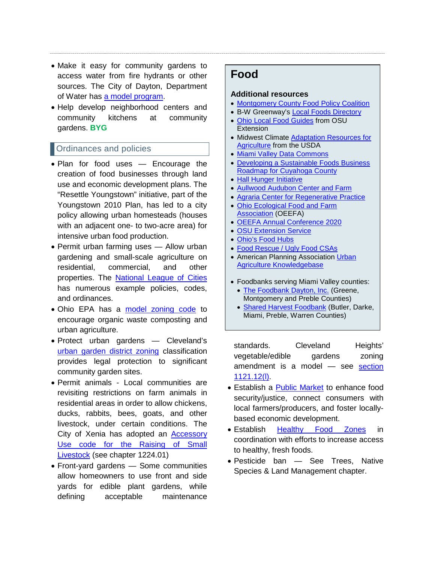- Make it easy for community gardens to access water from fire hydrants or other sources. The City of Dayton, Department of Water has [a model program.](https://www.daytonohio.gov/DocumentCenter/View/4813/Urban-Gardens-Guidelines?bidId=)
- Help develop neighborhood centers and community kitchens at community gardens. **BYG**

## Ordinances and policies

- Plan for food uses Encourage the creation of food businesses through land use and economic development plans. The "Resettle Youngstown" initiative, part of the Youngstown 2010 Plan, has led to a city policy allowing urban homesteads (houses with an adjacent one- to two-acre area) for intensive urban food production.
- Permit urban farming uses Allow urban gardening and small-scale agriculture on residential, commercial, and other properties. The [National League of Cities](https://www.nlc.org/resource/promoting-urban-agriculture-through-zoning) has numerous example policies, codes, and ordinances.
- Ohio EPA has a [model zoning code](https://epa.ohio.gov/portals/34/document/guidance/GD%201011_UrbanAgCompostingZoning.pdf) to encourage organic waste composting and urban agriculture.
- Protect urban gardens Cleveland's [urban garden district zoning](http://growingfoodconnections.org/wp-content/uploads/sites/3/gravity_forms/7-1d999688265744f48ad862bf97cf7ab9/2015/04/document-2.pdf) classification provides legal protection to significant community garden sites.
- Permit animals Local communities are revisiting restrictions on farm animals in residential areas in order to allow chickens, ducks, rabbits, bees, goats, and other livestock, under certain conditions. The City of Xenia has adopted an [Accessory](https://www.ci.xenia.oh.us/DocumentCenter/View/2529/Final-LDC?bidId=)  [Use code for the Raising of Small](https://www.ci.xenia.oh.us/DocumentCenter/View/2529/Final-LDC?bidId=)  [Livestock](https://www.ci.xenia.oh.us/DocumentCenter/View/2529/Final-LDC?bidId=) (see chapter 1224.01)
- Front-yard gardens Some communities allow homeowners to use front and side yards for edible plant gardens, while defining acceptable maintenance

# **Food**

#### **Additional resources**

- [Montgomery County Food Policy Coalition](https://www.mcohio.org/residents/mc_food_policy/)
- B-W Greenway's [Local](https://www.bwgreenway.org/food-farming) Foods Directory
- [Ohio Local Food Guides](https://localfoods.osu.edu/resources/ohio-local-food-directories) from OSU **Extension**
- Midwest Climate Adaptation [Resources for](https://www.climatehubs.usda.gov/sites/default/files/adaptation_resources_workbook_ne_mw.pdf)  [Agriculture](https://www.climatehubs.usda.gov/sites/default/files/adaptation_resources_workbook_ne_mw.pdf) from the USDA
- [Miami Valley Data Commons](https://www.mvrpc.org/data-mapping/miami-valley-data-commons)
- [Developing a Sustainable Foods Business](http://www.city.cleveland.oh.us/sites/default/files/forms_publications/DevelopingSustainableFoodsBusiness.pdf)  [Roadmap for Cuyahoga County](http://www.city.cleveland.oh.us/sites/default/files/forms_publications/DevelopingSustainableFoodsBusiness.pdf)
- [Hall Hunger Initiative](https://hallhunger.org/)
- [Aullwood Audubon Center and Farm](https://aullwood.audubon.org/)
- [Agraria Center for Regenerative Practice](https://www.communitysolution.org/agraria) • [Ohio Ecological Food and Farm](https://www.oeffa.org/)
- **[Association](https://www.oeffa.org/) (OEEFA)**
- OEEFA Annual [Conference 2020](https://www.oeffa.org/conference2020.php)
- [OSU Extension Service](https://extension.osu.edu/)
- [Ohio's Food Hubs](https://ohfarmersunion.org/ohios-regional-food-hubs/?)
- [Food Rescue / Ugly Food CSAs](https://412foodrescue.org/about-us/)
- American Planning Association Urban [Agriculture Knowledgebase](https://www.planning.org/knowledgebase/urbanagriculture/)
- Foodbanks serving Miami Valley counties:
	- [The Foodbank Dayton, Inc.](https://thefoodbankdayton.org/) (Greene, Montgomery and Preble Counties)
	- [Shared Harvest Foodbank](http://www.sharedharvest.org/index.html) (Butler, Darke, Miami, Preble, Warren Counties)

standards. Cleveland Heights' vegetable/edible gardens zoning amendment is a model — see [section](http://library2.amlegal.com/nxt/gateway.dll/Ohio/clevelandhts_oh/parteleven-zoningcode/titlethree-districtregulations/chapter1121aaandasingle-familyandbtwo-fa?f=templates$fn=default.htm$3.0$vid=amlegal:clevelandhts_oh$anc=JD_1121)  [1121.12\(l\).](http://library2.amlegal.com/nxt/gateway.dll/Ohio/clevelandhts_oh/parteleven-zoningcode/titlethree-districtregulations/chapter1121aaandasingle-familyandbtwo-fa?f=templates$fn=default.htm$3.0$vid=amlegal:clevelandhts_oh$anc=JD_1121)

- Establish a [Public Market](https://bostonpublicmarket.org/blog/322/what-is-a-public-market/) to enhance food security/justice, connect consumers with local farmers/producers, and foster locallybased economic development.
- Establish [Healthy Food Zones](https://www.jhsph.edu/research/centers-and-institutes/johns-hopkins-center-for-a-livable-future/_pdf/projects/FPN/Ordinances_Model_Policies/Model%20Healthy%20Food%20Zone%20Ordinance%20Creating%20a%20Healthy%20Food%20Zone%20Around%20Schools%20by%20Regulating%20the%20Location%20of%20Fast%20Food%20Restaurants%20and%20Mobile%20Food%20Vendors.pdf) in coordination with efforts to increase access to healthy, fresh foods.
- Pesticide ban See Trees, Native Species & Land Management chapter.